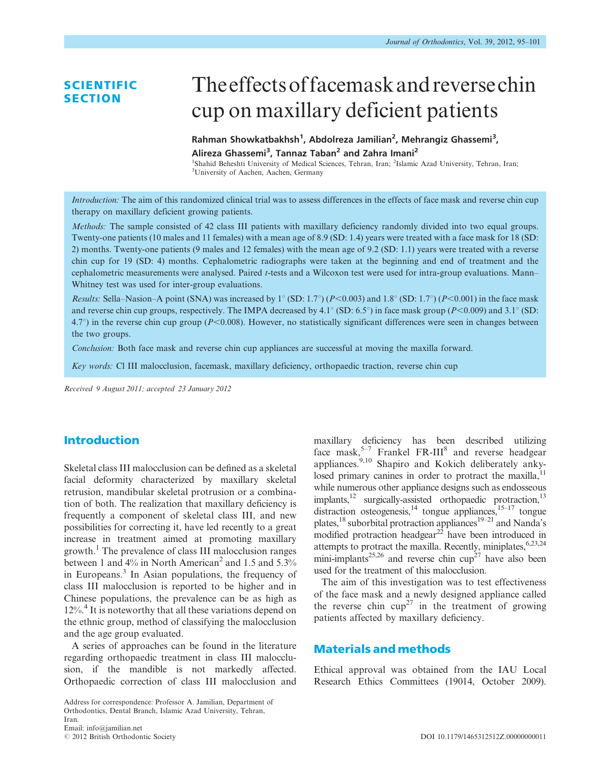# **SCIENTIFIC SECTION**

# Theeffectsoffacemaskandreversechin cup on maxillary deficient patients

Rahman Showkatbakhsh<sup>1</sup>, Abdolreza Jamilian<sup>2</sup>, Mehrangiz Ghassemi<sup>3</sup>, Alireza Ghassemi<sup>3</sup>, Tannaz Taban<sup>2</sup> and Zahra Imani<sup>2</sup>

<sup>1</sup>Shahid Beheshti University of Medical Sciences, Tehran, Iran; <sup>2</sup>Islamic Azad University, Tehran, Iran; <sup>3</sup>I<sub>-</sub>Iniversity of Aachen, Aachen, Germany University of Aachen, Aachen, Germany

Introduction: The aim of this randomized clinical trial was to assess differences in the effects of face mask and reverse chin cup therapy on maxillary deficient growing patients.

Methods: The sample consisted of 42 class III patients with maxillary deficiency randomly divided into two equal groups. Twenty-one patients (10 males and 11 females) with a mean age of 8.9 (SD: 1.4) years were treated with a face mask for 18 (SD: 2) months. Twenty-one patients (9 males and 12 females) with the mean age of 9.2 (SD: 1.1) years were treated with a reverse chin cup for 19 (SD: 4) months. Cephalometric radiographs were taken at the beginning and end of treatment and the cephalometric measurements were analysed. Paired t-tests and a Wilcoxon test were used for intra-group evaluations. Mann– Whitney test was used for inter-group evaluations.

Results: Sella–Nasion–A point (SNA) was increased by  $1^{\circ}$  (SD: 1.7°) (P<0.003) and 1.8° (SD: 1.7°) (P<0.001) in the face mask and reverse chin cup groups, respectively. The IMPA decreased by  $4.1^{\circ}$  (SD: 6.5°) in face mask group (P<0.009) and 3.1° (SD: 4.7°) in the reverse chin cup group ( $P<0.008$ ). However, no statistically significant differences were seen in changes between the two groups.

Conclusion: Both face mask and reverse chin cup appliances are successful at moving the maxilla forward.

Key words: Cl III malocclusion, facemask, maxillary deficiency, orthopaedic traction, reverse chin cup

Received 9 August 2011; accepted 23 January 2012

# Introduction

Skeletal class III malocclusion can be defined as a skeletal facial deformity characterized by maxillary skeletal retrusion, mandibular skeletal protrusion or a combination of both. The realization that maxillary deficiency is frequently a component of skeletal class III, and new possibilities for correcting it, have led recently to a great increase in treatment aimed at promoting maxillary growth.<sup>1</sup> The prevalence of class III malocclusion ranges between 1 and  $4\%$  in North American<sup>2</sup> and 1.5 and 5.3% in Europeans.3 In Asian populations, the frequency of class III malocclusion is reported to be higher and in Chinese populations, the prevalence can be as high as 12%.<sup>4</sup> It is noteworthy that all these variations depend on the ethnic group, method of classifying the malocclusion and the age group evaluated.

A series of approaches can be found in the literature regarding orthopaedic treatment in class III malocclusion, if the mandible is not markedly affected. Orthopaedic correction of class III malocclusion and

Address for correspondence: Professor A. Jamilian, Department of Orthodontics, Dental Branch, Islamic Azad University, Tehran, Iran. Email: info@jamilian.net

maxillary deficiency has been described utilizing face mask,<sup>5-7</sup> Frankel FR-III<sup>8</sup> and reverse headgear appliances.<sup>9,10</sup> Shapiro and Kokich deliberately ankylosed primary canines in order to protract the maxilla,<sup>11</sup> while numerous other appliance designs such as endosseous implants, $12$  surgically-assisted orthopaedic protraction,  $13$ distraction osteogenesis,<sup>14</sup> tongue appliances,<sup>15–17</sup> tongue plates,<sup>18</sup> suborbital protraction appliances<sup>19–21</sup> and Nanda's modified protraction headgear $2^2$  have been introduced in attempts to protract the maxilla. Recently, miniplates, 6,23,24 mini-implants<sup>25,26</sup> and reverse chin  $cup^{27}$  have also been used for the treatment of this malocclusion.

The aim of this investigation was to test effectiveness of the face mask and a newly designed appliance called the reverse chin  $cup^{27}$  in the treatment of growing patients affected by maxillary deficiency.

## Materials and methods

Ethical approval was obtained from the IAU Local Research Ethics Committees (19014, October 2009).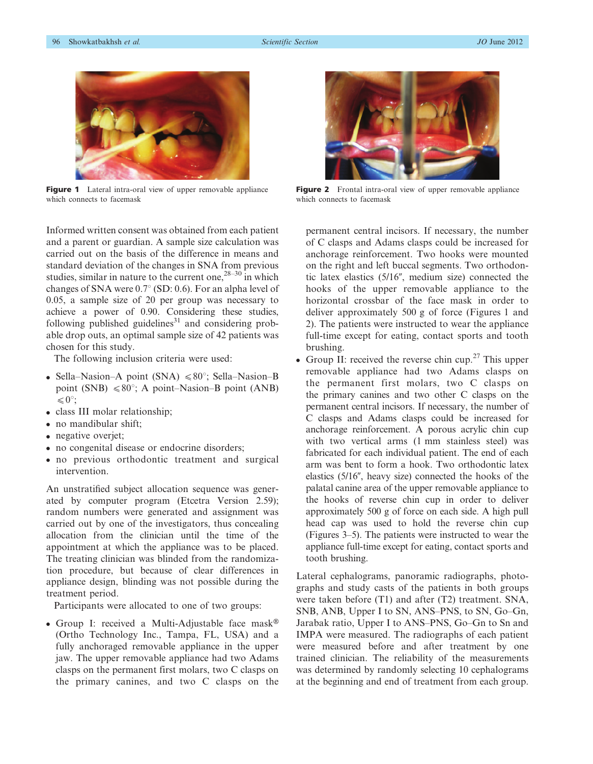

Figure 1 Lateral intra-oral view of upper removable appliance which connects to facemask

Informed written consent was obtained from each patient and a parent or guardian. A sample size calculation was carried out on the basis of the difference in means and standard deviation of the changes in SNA from previous studies, similar in nature to the current one,  $28-30$  in which changes of SNA were  $0.7^{\circ}$  (SD: 0.6). For an alpha level of 0.05, a sample size of 20 per group was necessary to achieve a power of 0.90. Considering these studies, following published guidelines $31$  and considering probable drop outs, an optimal sample size of 42 patients was chosen for this study.

The following inclusion criteria were used:

- Sella–Nasion–A point (SNA)  $\leq 80^\circ$ ; Sella–Nasion–B point (SNB)  $\leq 80^\circ$ ; A point–Nasion–B point (ANB)  $\leq 0$ <sup>o</sup>;
- class III molar relationship;
- no mandibular shift;
- negative overjet;
- no congenital disease or endocrine disorders;
- no previous orthodontic treatment and surgical intervention.

An unstratified subject allocation sequence was generated by computer program (Etcetra Version 2.59); random numbers were generated and assignment was carried out by one of the investigators, thus concealing allocation from the clinician until the time of the appointment at which the appliance was to be placed. The treating clinician was blinded from the randomization procedure, but because of clear differences in appliance design, blinding was not possible during the treatment period.

Participants were allocated to one of two groups:

• Group I: received a Multi-Adjustable face mask<sup>®</sup> (Ortho Technology Inc., Tampa, FL, USA) and a fully anchoraged removable appliance in the upper jaw. The upper removable appliance had two Adams clasps on the permanent first molars, two C clasps on the primary canines, and two C clasps on the



Figure 2 Frontal intra-oral view of upper removable appliance which connects to facemask

permanent central incisors. If necessary, the number of C clasps and Adams clasps could be increased for anchorage reinforcement. Two hooks were mounted on the right and left buccal segments. Two orthodontic latex elastics  $(5/16)$ , medium size) connected the hooks of the upper removable appliance to the horizontal crossbar of the face mask in order to deliver approximately 500 g of force (Figures 1 and 2). The patients were instructed to wear the appliance full-time except for eating, contact sports and tooth brushing.

• Group II: received the reverse chin cup.<sup>27</sup> This upper removable appliance had two Adams clasps on the permanent first molars, two C clasps on the primary canines and two other C clasps on the permanent central incisors. If necessary, the number of C clasps and Adams clasps could be increased for anchorage reinforcement. A porous acrylic chin cup with two vertical arms (1 mm stainless steel) was fabricated for each individual patient. The end of each arm was bent to form a hook. Two orthodontic latex elastics  $(5/16)$ , heavy size) connected the hooks of the palatal canine area of the upper removable appliance to the hooks of reverse chin cup in order to deliver approximately 500 g of force on each side. A high pull head cap was used to hold the reverse chin cup (Figures 3–5). The patients were instructed to wear the appliance full-time except for eating, contact sports and tooth brushing.

Lateral cephalograms, panoramic radiographs, photographs and study casts of the patients in both groups were taken before (T1) and after (T2) treatment. SNA, SNB, ANB, Upper I to SN, ANS–PNS, to SN, Go–Gn, Jarabak ratio, Upper I to ANS–PNS, Go–Gn to Sn and IMPA were measured. The radiographs of each patient were measured before and after treatment by one trained clinician. The reliability of the measurements was determined by randomly selecting 10 cephalograms at the beginning and end of treatment from each group.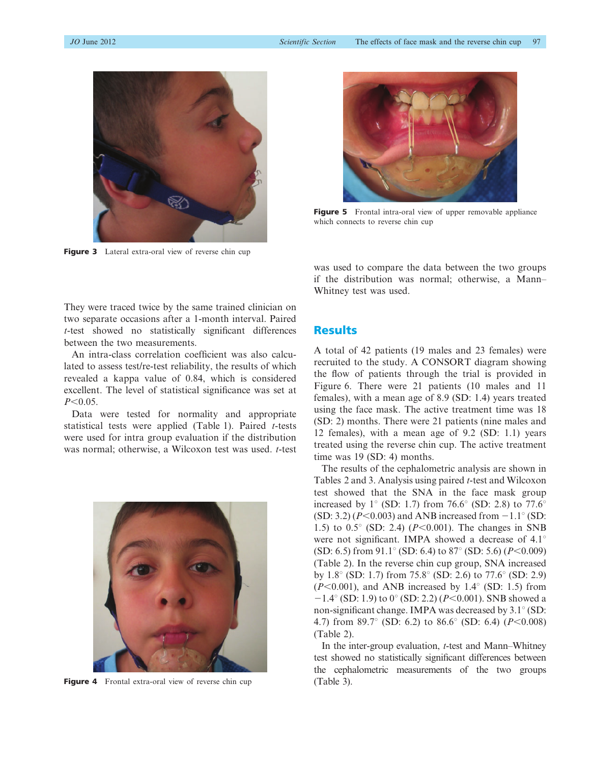

Figure 3 Lateral extra-oral view of reverse chin cup



Figure 5 Frontal intra-oral view of upper removable appliance which connects to reverse chin cup

They were traced twice by the same trained clinician on two separate occasions after a 1-month interval. Paired t-test showed no statistically significant differences between the two measurements.

An intra-class correlation coefficient was also calculated to assess test/re-test reliability, the results of which revealed a kappa value of 0.84, which is considered excellent. The level of statistical significance was set at  $P<0.05$ .

Data were tested for normality and appropriate statistical tests were applied (Table 1). Paired  $t$ -tests were used for intra group evaluation if the distribution was normal; otherwise, a Wilcoxon test was used. t-test



Figure 4 Frontal extra-oral view of reverse chin cup

was used to compare the data between the two groups if the distribution was normal; otherwise, a Mann– Whitney test was used.

## **Results**

A total of 42 patients (19 males and 23 females) were recruited to the study. A CONSORT diagram showing the flow of patients through the trial is provided in Figure 6. There were 21 patients (10 males and 11 females), with a mean age of 8.9 (SD: 1.4) years treated using the face mask. The active treatment time was 18 (SD: 2) months. There were 21 patients (nine males and 12 females), with a mean age of 9.2 (SD: 1.1) years treated using the reverse chin cup. The active treatment time was 19 (SD: 4) months.

The results of the cephalometric analysis are shown in Tables 2 and 3. Analysis using paired t-test and Wilcoxon test showed that the SNA in the face mask group increased by  $1^\circ$  (SD: 1.7) from 76.6 $^\circ$  (SD: 2.8) to 77.6 $^\circ$ (SD: 3.2) ( $P<0.003$ ) and ANB increased from  $-1.1^{\circ}$  (SD: 1.5) to  $0.5^{\circ}$  (SD: 2.4) (P<0.001). The changes in SNB were not significant. IMPA showed a decrease of  $4.1^{\circ}$ (SD: 6.5) from  $91.1^{\circ}$  (SD: 6.4) to  $87^{\circ}$  (SD: 5.6) (P<0.009) (Table 2). In the reverse chin cup group, SNA increased by 1.8 $\degree$  (SD: 1.7) from 75.8 $\degree$  (SD: 2.6) to 77.6 $\degree$  (SD: 2.9)  $(P<0.001)$ , and ANB increased by 1.4° (SD: 1.5) from  $-1.4^{\circ}$  (SD: 1.9) to 0° (SD: 2.2) (P<0.001). SNB showed a non-significant change. IMPA was decreased by  $3.1^{\circ}$  (SD: 4.7) from 89.7 $\textdegree$  (SD: 6.2) to 86.6 $\textdegree$  (SD: 6.4) (P<0.008) (Table 2).

In the inter-group evaluation, *t*-test and Mann–Whitney test showed no statistically significant differences between the cephalometric measurements of the two groups (Table 3).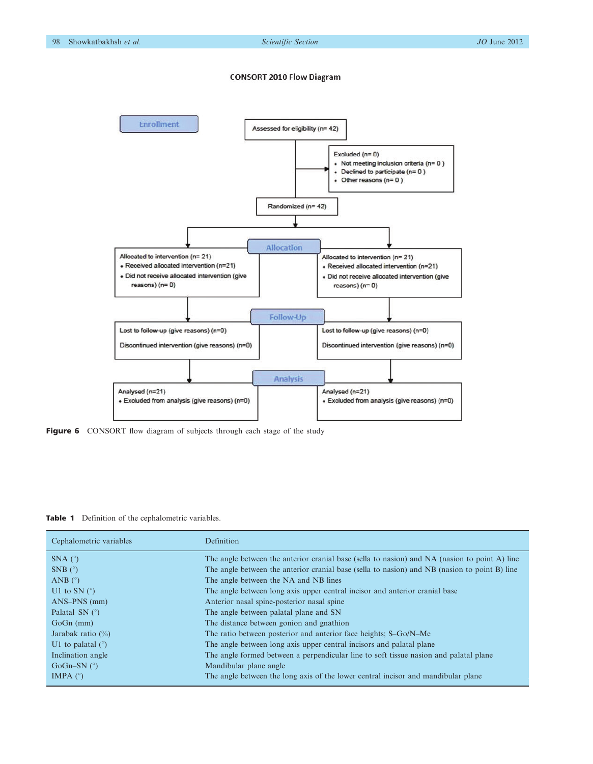#### **CONSORT 2010 Flow Diagram**



Figure 6 CONSORT flow diagram of subjects through each stage of the study

| Cephalometric variables | Definition                                                                                    |
|-------------------------|-----------------------------------------------------------------------------------------------|
| $SNA(^{\circ})$         | The angle between the anterior cranial base (sella to nasion) and NA (nasion to point A) line |
| SNB $(^\circ)$          | The angle between the anterior cranial base (sella to nasion) and NB (nasion to point B) line |
| ANB $(^\circ)$          | The angle between the NA and NB lines                                                         |
| U1 to SN $(^\circ)$     | The angle between long axis upper central incisor and anterior cranial base                   |
| $ANS-PNS$ (mm)          | Anterior nasal spine-posterior nasal spine                                                    |
| Palatal–SN $(°)$        | The angle between palatal plane and SN                                                        |
| $GoGn$ (mm)             | The distance between gonion and gnathion                                                      |
| Jarabak ratio $(\%)$    | The ratio between posterior and anterior face heights; S-Go/N-Me                              |
| U1 to palatal $(°)$     | The angle between long axis upper central incisors and palatal plane                          |
| Inclination angle       | The angle formed between a perpendicular line to soft tissue nasion and palatal plane         |
| $GoGn-SN$ ( $\degree$ ) | Mandibular plane angle                                                                        |
| IMPA $(°)$              | The angle between the long axis of the lower central incisor and mandibular plane             |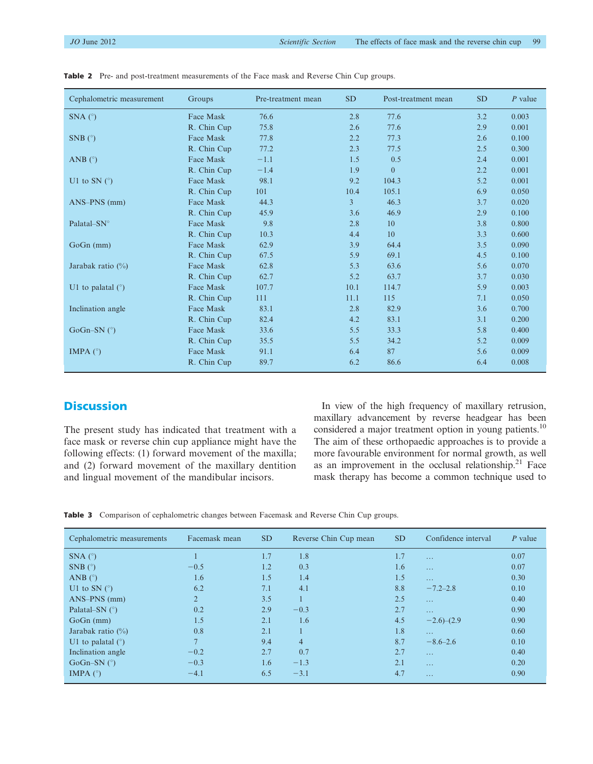| Cephalometric measurement | Groups      | Pre-treatment mean | SD             | Post-treatment mean | <b>SD</b> | $P$ value |
|---------------------------|-------------|--------------------|----------------|---------------------|-----------|-----------|
| $SNA$ ( $\degree$ )       | Face Mask   | 76.6               | 2.8            | 77.6                | 3.2       | 0.003     |
|                           | R. Chin Cup | 75.8               | 2.6            | 77.6                | 2.9       | 0.001     |
| SNB $(°)$                 | Face Mask   | 77.8               | 2.2            | 77.3                | 2.6       | 0.100     |
|                           | R. Chin Cup | 77.2               | 2.3            | 77.5                | 2.5       | 0.300     |
| ANB $(°)$                 | Face Mask   | $-1.1$             | 1.5            | 0.5                 | 2.4       | 0.001     |
|                           | R. Chin Cup | $-1.4$             | 1.9            | $\Omega$            | 2.2       | 0.001     |
| U1 to SN $(^\circ)$       | Face Mask   | 98.1               | 9.2            | 104.3               | 5.2       | 0.001     |
|                           | R. Chin Cup | 101                | 10.4           | 105.1               | 6.9       | 0.050     |
| $ANS-PNS$ (mm)            | Face Mask   | 44.3               | $\overline{3}$ | 46.3                | 3.7       | 0.020     |
|                           | R. Chin Cup | 45.9               | 3.6            | 46.9                | 2.9       | 0.100     |
| Palatal-SN°               | Face Mask   | 9.8                | 2.8            | 10                  | 3.8       | 0.800     |
|                           | R. Chin Cup | 10.3               | 4.4            | 10                  | 3.3       | 0.600     |
| $GoGn$ (mm)               | Face Mask   | 62.9               | 3.9            | 64.4                | 3.5       | 0.090     |
|                           | R. Chin Cup | 67.5               | 5.9            | 69.1                | 4.5       | 0.100     |
| Jarabak ratio $(\%)$      | Face Mask   | 62.8               | 5.3            | 63.6                | 5.6       | 0.070     |
|                           | R. Chin Cup | 62.7               | 5.2            | 63.7                | 3.7       | 0.030     |
| U1 to palatal $(°)$       | Face Mask   | 107.7              | 10.1           | 114.7               | 5.9       | 0.003     |
|                           | R. Chin Cup | 111                | 11.1           | 115                 | 7.1       | 0.050     |
| Inclination angle         | Face Mask   | 83.1               | 2.8            | 82.9                | 3.6       | 0.700     |
|                           | R. Chin Cup | 82.4               | 4.2            | 83.1                | 3.1       | 0.200     |
| GoGn-SN $(^{\circ})$      | Face Mask   | 33.6               | 5.5            | 33.3                | 5.8       | 0.400     |
|                           | R. Chin Cup | 35.5               | 5.5            | 34.2                | 5.2       | 0.009     |
| IMPA $(°)$                | Face Mask   | 91.1               | 6.4            | 87                  | 5.6       | 0.009     |
|                           | R. Chin Cup | 89.7               | 6.2            | 86.6                | 6.4       | 0.008     |

Table 2 Pre- and post-treatment measurements of the Face mask and Reverse Chin Cup groups.

# **Discussion**

The present study has indicated that treatment with a face mask or reverse chin cup appliance might have the following effects: (1) forward movement of the maxilla; and (2) forward movement of the maxillary dentition and lingual movement of the mandibular incisors.

In view of the high frequency of maxillary retrusion, maxillary advancement by reverse headgear has been considered a major treatment option in young patients.<sup>10</sup> The aim of these orthopaedic approaches is to provide a more favourable environment for normal growth, as well as an improvement in the occlusal relationship. $21$  Face mask therapy has become a common technique used to

Table 3 Comparison of cephalometric changes between Facemask and Reverse Chin Cup groups.

| Cephalometric measurements | Facemask mean  | <b>SD</b> | Reverse Chin Cup mean | <b>SD</b> | Confidence interval | $P$ value |
|----------------------------|----------------|-----------|-----------------------|-----------|---------------------|-----------|
| $SNA$ $(°)$                |                | 1.7       | 1.8                   | 1.7       | $\cdots$            | 0.07      |
| SNB $(^\circ)$             | $-0.5$         | 1.2       | 0.3                   | 1.6       | $\sim$ $\sim$       | 0.07      |
| ANB $(^\circ)$             | 1.6            | 1.5       | 1.4                   | 1.5       | $\sim$ $\sim$       | 0.30      |
| U1 to SN $(^\circ)$        | 6.2            | 7.1       | 4.1                   | 8.8       | $-7.2 - 2.8$        | 0.10      |
| $ANS-PNS$ (mm)             | $\overline{2}$ | 3.5       |                       | 2.5       | $\sim$ $\sim$       | 0.40      |
| Palatal–SN $(°)$           | 0.2            | 2.9       | $-0.3$                | 2.7       | $\cdots$            | 0.90      |
| $GoGn$ (mm)                | 1.5            | 2.1       | 1.6                   | 4.5       | $-2.6-(2.9)$        | 0.90      |
| Jarabak ratio $(\%)$       | 0.8            | 2.1       |                       | 1.8       | $\mathbf{1}$        | 0.60      |
| U1 to palatal $(°)$        | $\overline{7}$ | 9.4       | $\overline{4}$        | 8.7       | $-8.6 - 2.6$        | 0.10      |
| Inclination angle          | $-0.2$         | 2.7       | 0.7                   | 2.7       | $\cdots$            | 0.40      |
| $GoGn-SN$ ( $°$ )          | $-0.3$         | 1.6       | $-1.3$                | 2.1       | $\cdots$            | 0.20      |
| IMPA $(°)$                 | $-4.1$         | 6.5       | $-3.1$                | 4.7       | $\cdots$            | 0.90      |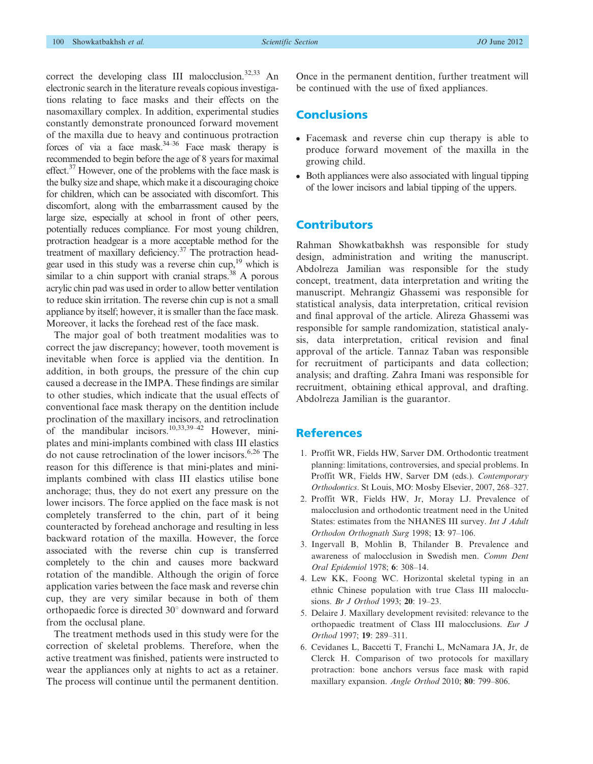correct the developing class III malocclusion. $32,33$  An electronic search in the literature reveals copious investigations relating to face masks and their effects on the nasomaxillary complex. In addition, experimental studies constantly demonstrate pronounced forward movement of the maxilla due to heavy and continuous protraction forces of via a face mask. $34-36$  Face mask therapy is recommended to begin before the age of 8 years for maximal effect.<sup>37</sup> However, one of the problems with the face mask is the bulky size and shape, which make it a discouraging choice for children, which can be associated with discomfort. This discomfort, along with the embarrassment caused by the large size, especially at school in front of other peers, potentially reduces compliance. For most young children, protraction headgear is a more acceptable method for the treatment of maxillary deficiency.<sup>37</sup> The protraction headgear used in this study was a reverse chin  $cup^{19}$  which is similar to a chin support with cranial straps.<sup>38</sup> A porous acrylic chin pad was used in order to allow better ventilation to reduce skin irritation. The reverse chin cup is not a small appliance by itself; however, it is smaller than the face mask. Moreover, it lacks the forehead rest of the face mask.

The major goal of both treatment modalities was to correct the jaw discrepancy; however, tooth movement is inevitable when force is applied via the dentition. In addition, in both groups, the pressure of the chin cup caused a decrease in the IMPA. These findings are similar to other studies, which indicate that the usual effects of conventional face mask therapy on the dentition include proclination of the maxillary incisors, and retroclination of the mandibular incisors.<sup>10,33,39–42</sup> However, miniplates and mini-implants combined with class III elastics do not cause retroclination of the lower incisors.<sup>6,26</sup> The reason for this difference is that mini-plates and miniimplants combined with class III elastics utilise bone anchorage; thus, they do not exert any pressure on the lower incisors. The force applied on the face mask is not completely transferred to the chin, part of it being counteracted by forehead anchorage and resulting in less backward rotation of the maxilla. However, the force associated with the reverse chin cup is transferred completely to the chin and causes more backward rotation of the mandible. Although the origin of force application varies between the face mask and reverse chin cup, they are very similar because in both of them orthopaedic force is directed  $30^{\circ}$  downward and forward from the occlusal plane.

The treatment methods used in this study were for the correction of skeletal problems. Therefore, when the active treatment was finished, patients were instructed to wear the appliances only at nights to act as a retainer. The process will continue until the permanent dentition.

Once in the permanent dentition, further treatment will be continued with the use of fixed appliances.

## **Conclusions**

- Facemask and reverse chin cup therapy is able to produce forward movement of the maxilla in the growing child.
- Both appliances were also associated with lingual tipping of the lower incisors and labial tipping of the uppers.

## **Contributors**

Rahman Showkatbakhsh was responsible for study design, administration and writing the manuscript. Abdolreza Jamilian was responsible for the study concept, treatment, data interpretation and writing the manuscript. Mehrangiz Ghassemi was responsible for statistical analysis, data interpretation, critical revision and final approval of the article. Alireza Ghassemi was responsible for sample randomization, statistical analysis, data interpretation, critical revision and final approval of the article. Tannaz Taban was responsible for recruitment of participants and data collection; analysis; and drafting. Zahra Imani was responsible for recruitment, obtaining ethical approval, and drafting. Abdolreza Jamilian is the guarantor.

## References

- 1. Proffit WR, Fields HW, Sarver DM. Orthodontic treatment planning: limitations, controversies, and special problems. In Proffit WR, Fields HW, Sarver DM (eds.). Contemporary Orthodontics. St Louis, MO: Mosby Elsevier, 2007, 268–327.
- 2. Proffit WR, Fields HW, Jr, Moray LJ. Prevalence of malocclusion and orthodontic treatment need in the United States: estimates from the NHANES III survey. Int J Adult Orthodon Orthognath Surg 1998; 13: 97–106.
- 3. Ingervall B, Mohlin B, Thilander B. Prevalence and awareness of malocclusion in Swedish men. Comm Dent Oral Epidemiol 1978; 6: 308–14.
- 4. Lew KK, Foong WC. Horizontal skeletal typing in an ethnic Chinese population with true Class III malocclusions. Br J Orthod 1993; 20: 19–23.
- 5. Delaire J. Maxillary development revisited: relevance to the orthopaedic treatment of Class III malocclusions. Eur J Orthod 1997; 19: 289–311.
- 6. Cevidanes L, Baccetti T, Franchi L, McNamara JA, Jr, de Clerck H. Comparison of two protocols for maxillary protraction: bone anchors versus face mask with rapid maxillary expansion. Angle Orthod 2010; 80: 799–806.